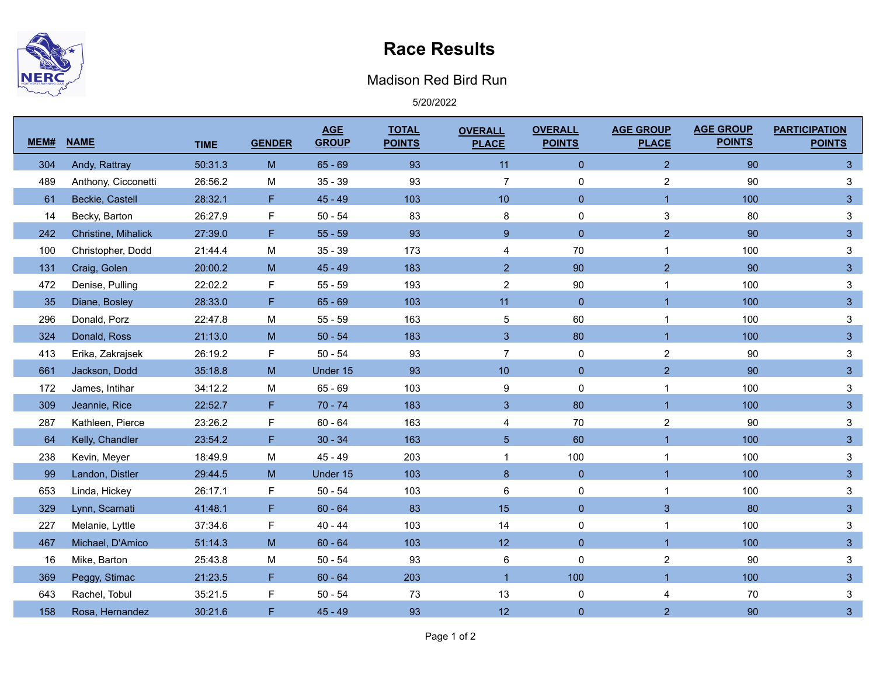

## **Race Results**

## Madison Red Bird Run

5/20/2022

| MEM# | <b>NAME</b>         | <b>TIME</b> | <b>GENDER</b> | <b>AGE</b><br><b>GROUP</b> | <b>TOTAL</b><br><b>POINTS</b> | <b>OVERALL</b><br><b>PLACE</b> | <b>OVERALL</b><br><b>POINTS</b> | <b>AGE GROUP</b><br><b>PLACE</b> | <b>AGE GROUP</b><br><b>POINTS</b> | <b>PARTICIPATION</b><br><b>POINTS</b> |
|------|---------------------|-------------|---------------|----------------------------|-------------------------------|--------------------------------|---------------------------------|----------------------------------|-----------------------------------|---------------------------------------|
| 304  | Andy, Rattray       | 50:31.3     | M             | $65 - 69$                  | 93                            | 11                             | $\mathbf{0}$                    | $\overline{2}$                   | 90                                | $\mathbf{3}$                          |
| 489  | Anthony, Cicconetti | 26:56.2     | M             | $35 - 39$                  | 93                            | $\overline{7}$                 | 0                               | $\overline{2}$                   | 90                                | 3                                     |
| 61   | Beckie, Castell     | 28:32.1     | F.            | $45 - 49$                  | 103                           | 10 <sup>°</sup>                | $\overline{0}$                  | $\overline{1}$                   | 100                               | $\mathbf{3}$                          |
| 14   | Becky, Barton       | 26:27.9     | F             | $50 - 54$                  | 83                            | 8                              | 0                               | 3                                | 80                                | $\ensuremath{\mathsf{3}}$             |
| 242  | Christine, Mihalick | 27:39.0     | F             | $55 - 59$                  | 93                            | $9\,$                          | $\mathbf 0$                     | $\overline{2}$                   | 90                                | $\sqrt{3}$                            |
| 100  | Christopher, Dodd   | 21:44.4     | M             | $35 - 39$                  | 173                           | 4                              | 70                              | $\mathbf{1}$                     | 100                               | $\sqrt{3}$                            |
| 131  | Craig, Golen        | 20:00.2     | M             | $45 - 49$                  | 183                           | $\overline{2}$                 | 90                              | $\overline{2}$                   | 90                                | $\sqrt{3}$                            |
| 472  | Denise, Pulling     | 22:02.2     | F             | $55 - 59$                  | 193                           | $\overline{2}$                 | $90\,$                          | 1                                | 100                               | $\mathbf{3}$                          |
| 35   | Diane, Bosley       | 28:33.0     | F.            | $65 - 69$                  | 103                           | 11                             | $\overline{0}$                  | 1                                | 100                               | $\mathbf{3}$                          |
| 296  | Donald, Porz        | 22:47.8     | M             | $55 - 59$                  | 163                           | $\sqrt{5}$                     | 60                              | $\mathbf{1}$                     | 100                               | $\ensuremath{\mathsf{3}}$             |
| 324  | Donald, Ross        | 21:13.0     | M             | $50 - 54$                  | 183                           | 3                              | 80                              | $\overline{1}$                   | 100                               | $\mathbf{3}$                          |
| 413  | Erika, Zakrajsek    | 26:19.2     | F             | $50 - 54$                  | 93                            | $\overline{7}$                 | 0                               | $\boldsymbol{2}$                 | 90                                | $\mathbf{3}$                          |
| 661  | Jackson, Dodd       | 35:18.8     | M             | Under 15                   | 93                            | 10 <sup>°</sup>                | $\pmb{0}$                       | $\overline{2}$                   | 90                                | $\mathbf{3}$                          |
| 172  | James, Intihar      | 34:12.2     | M             | $65 - 69$                  | 103                           | 9                              | $\pmb{0}$                       | 1                                | 100                               | $\ensuremath{\mathsf{3}}$             |
| 309  | Jeannie, Rice       | 22:52.7     | F             | $70 - 74$                  | 183                           | 3                              | 80                              | $\overline{1}$                   | 100                               | $\mathbf{3}$                          |
| 287  | Kathleen, Pierce    | 23:26.2     | F             | $60 - 64$                  | 163                           | 4                              | 70                              | $\sqrt{2}$                       | 90                                | $\ensuremath{\mathsf{3}}$             |
| 64   | Kelly, Chandler     | 23:54.2     | F             | $30 - 34$                  | 163                           | 5 <sup>5</sup>                 | 60                              | $\overline{1}$                   | 100                               | $\mathbf{3}$                          |
| 238  | Kevin, Meyer        | 18:49.9     | M             | $45 - 49$                  | 203                           | $\mathbf{1}$                   | 100                             | 1                                | 100                               | $\mathbf{3}$                          |
| 99   | Landon, Distler     | 29:44.5     | M             | Under 15                   | 103                           | 8                              | $\mathbf 0$                     | $\overline{1}$                   | 100                               | $\mathbf{3}$                          |
| 653  | Linda, Hickey       | 26:17.1     | F             | $50 - 54$                  | 103                           | $\,6$                          | 0                               | 1                                | 100                               | $\sqrt{3}$                            |
| 329  | Lynn, Scarnati      | 41:48.1     | F             | $60 - 64$                  | 83                            | 15                             | $\mathbf 0$                     | $\mathbf{3}$                     | 80                                | $\sqrt{3}$                            |
| 227  | Melanie, Lyttle     | 37:34.6     | F             | $40 - 44$                  | 103                           | 14                             | 0                               | 1                                | 100                               | $\mathbf{3}$                          |
| 467  | Michael, D'Amico    | 51:14.3     | ${\sf M}$     | $60 - 64$                  | 103                           | 12 <sup>°</sup>                | $\mathbf 0$                     | $\overline{1}$                   | 100                               | $\sqrt{3}$                            |
| 16   | Mike, Barton        | 25:43.8     | M             | $50 - 54$                  | 93                            | 6                              | 0                               | $\sqrt{2}$                       | 90                                | $\mathbf{3}$                          |
| 369  | Peggy, Stimac       | 21:23.5     | F.            | $60 - 64$                  | 203                           | $\overline{1}$                 | 100                             | $\overline{1}$                   | 100                               | $\mathbf{3}$                          |
| 643  | Rachel, Tobul       | 35:21.5     | F             | $50 - 54$                  | 73                            | 13                             | 0                               | 4                                | 70                                | $\mathbf{3}$                          |
| 158  | Rosa, Hernandez     | 30:21.6     | F             | $45 - 49$                  | 93                            | 12 <sup>°</sup>                | $\mathbf 0$                     | $\overline{2}$                   | 90                                | $\mathbf{3}$                          |